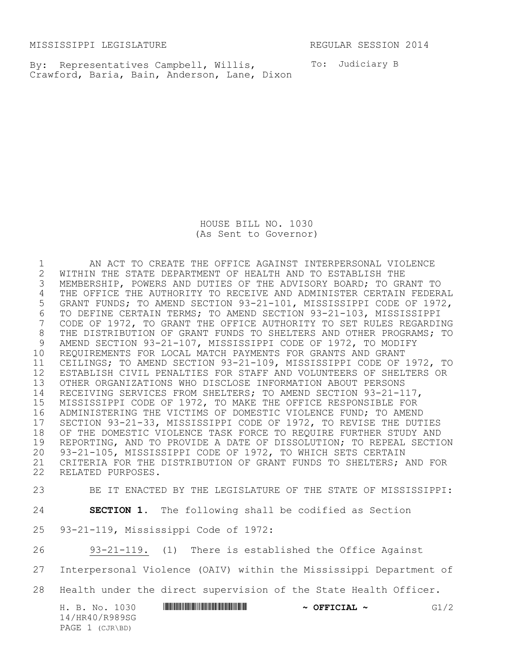MISSISSIPPI LEGISLATURE **REGULAR SESSION 2014** 

By: Representatives Campbell, Willis, To: Judiciary B Crawford, Baria, Bain, Anderson, Lane, Dixon

HOUSE BILL NO. 1030 (As Sent to Governor)

 AN ACT TO CREATE THE OFFICE AGAINST INTERPERSONAL VIOLENCE 2 WITHIN THE STATE DEPARTMENT OF HEALTH AND TO ESTABLISH THE<br>3 MEMBERSHIP, POWERS AND DUTIES OF THE ADVISORY BOARD; TO GR MEMBERSHIP, POWERS AND DUTIES OF THE ADVISORY BOARD; TO GRANT TO THE OFFICE THE AUTHORITY TO RECEIVE AND ADMINISTER CERTAIN FEDERAL GRANT FUNDS; TO AMEND SECTION 93-21-101, MISSISSIPPI CODE OF 1972, 6 TO DEFINE CERTAIN TERMS; TO AMEND SECTION 93-21-103, MISSISSIPPI<br>7 CODE OF 1972, TO GRANT THE OFFICE AUTHORITY TO SET RULES REGARDI CODE OF 1972, TO GRANT THE OFFICE AUTHORITY TO SET RULES REGARDING 8 THE DISTRIBUTION OF GRANT FUNDS TO SHELTERS AND OTHER PROGRAMS; TO<br>9 AMEND SECTION 93-21-107, MISSISSIPPI CODE OF 1972, TO MODIFY AMEND SECTION 93-21-107, MISSISSIPPI CODE OF 1972, TO MODIFY REQUIREMENTS FOR LOCAL MATCH PAYMENTS FOR GRANTS AND GRANT CEILINGS; TO AMEND SECTION 93-21-109, MISSISSIPPI CODE OF 1972, TO ESTABLISH CIVIL PENALTIES FOR STAFF AND VOLUNTEERS OF SHELTERS OR OTHER ORGANIZATIONS WHO DISCLOSE INFORMATION ABOUT PERSONS RECEIVING SERVICES FROM SHELTERS; TO AMEND SECTION 93-21-117, MISSISSIPPI CODE OF 1972, TO MAKE THE OFFICE RESPONSIBLE FOR ADMINISTERING THE VICTIMS OF DOMESTIC VIOLENCE FUND; TO AMEND 17 SECTION 93-21-33, MISSISSIPPI CODE OF 1972, TO REVISE THE DUTIES<br>18 OF THE DOMESTIC VIOLENCE TASK FORCE TO REQUIRE FURTHER STUDY AND OF THE DOMESTIC VIOLENCE TASK FORCE TO REQUIRE FURTHER STUDY AND REPORTING, AND TO PROVIDE A DATE OF DISSOLUTION; TO REPEAL SECTION 93-21-105, MISSISSIPPI CODE OF 1972, TO WHICH SETS CERTAIN CRITERIA FOR THE DISTRIBUTION OF GRANT FUNDS TO SHELTERS; AND FOR RELATED PURPOSES.

BE IT ENACTED BY THE LEGISLATURE OF THE STATE OF MISSISSIPPI:

**SECTION 1.** The following shall be codified as Section

93-21-119, Mississippi Code of 1972:

93-21-119. (1) There is established the Office Against

Interpersonal Violence (OAIV) within the Mississippi Department of

Health under the direct supervision of the State Health Officer.

H. B. No. 1030 **HR40 BEER 40 CONSUMER 200 BEER 40** GA/2 14/HR40/R989SG PAGE 1 (CJR\BD)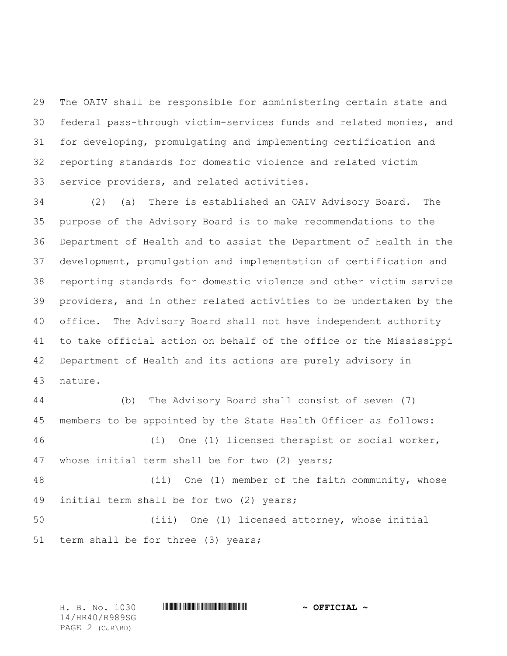The OAIV shall be responsible for administering certain state and federal pass-through victim-services funds and related monies, and for developing, promulgating and implementing certification and reporting standards for domestic violence and related victim service providers, and related activities.

 (2) (a) There is established an OAIV Advisory Board. The purpose of the Advisory Board is to make recommendations to the Department of Health and to assist the Department of Health in the development, promulgation and implementation of certification and reporting standards for domestic violence and other victim service providers, and in other related activities to be undertaken by the office. The Advisory Board shall not have independent authority to take official action on behalf of the office or the Mississippi Department of Health and its actions are purely advisory in nature.

 (b) The Advisory Board shall consist of seven (7) members to be appointed by the State Health Officer as follows: (i) One (1) licensed therapist or social worker, whose initial term shall be for two (2) years; (ii) One (1) member of the faith community, whose initial term shall be for two (2) years; (iii) One (1) licensed attorney, whose initial term shall be for three (3) years;

H. B. No. 1030 \*HR40/R989SG\* **~ OFFICIAL ~**

14/HR40/R989SG PAGE 2 (CJR\BD)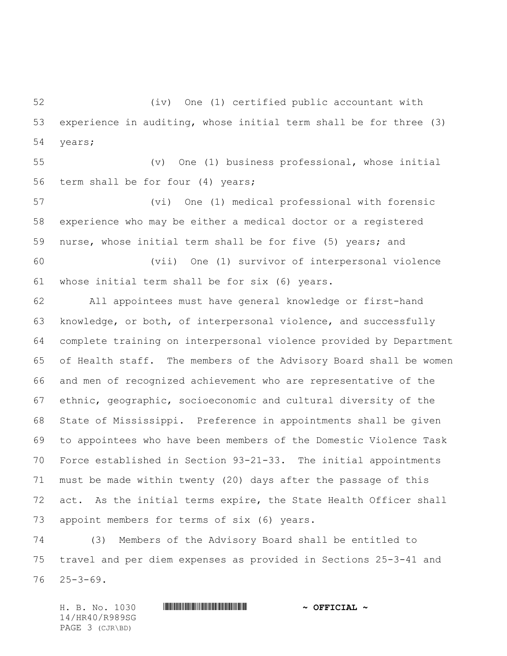(iv) One (1) certified public accountant with experience in auditing, whose initial term shall be for three (3) years;

 (v) One (1) business professional, whose initial term shall be for four (4) years;

 (vi) One (1) medical professional with forensic experience who may be either a medical doctor or a registered nurse, whose initial term shall be for five (5) years; and

 (vii) One (1) survivor of interpersonal violence whose initial term shall be for six (6) years.

 All appointees must have general knowledge or first-hand knowledge, or both, of interpersonal violence, and successfully complete training on interpersonal violence provided by Department of Health staff. The members of the Advisory Board shall be women and men of recognized achievement who are representative of the ethnic, geographic, socioeconomic and cultural diversity of the State of Mississippi. Preference in appointments shall be given to appointees who have been members of the Domestic Violence Task Force established in Section 93-21-33. The initial appointments must be made within twenty (20) days after the passage of this act. As the initial terms expire, the State Health Officer shall appoint members for terms of six (6) years.

 (3) Members of the Advisory Board shall be entitled to travel and per diem expenses as provided in Sections 25-3-41 and 25-3-69.

H. B. No. 1030 \*HR40/R989SG\* **~ OFFICIAL ~** 14/HR40/R989SG PAGE 3 (CJR\BD)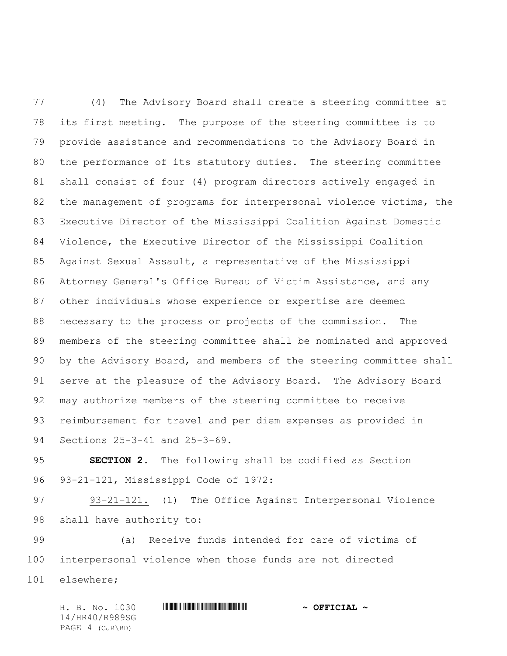(4) The Advisory Board shall create a steering committee at its first meeting. The purpose of the steering committee is to provide assistance and recommendations to the Advisory Board in the performance of its statutory duties. The steering committee shall consist of four (4) program directors actively engaged in the management of programs for interpersonal violence victims, the Executive Director of the Mississippi Coalition Against Domestic Violence, the Executive Director of the Mississippi Coalition Against Sexual Assault, a representative of the Mississippi Attorney General's Office Bureau of Victim Assistance, and any other individuals whose experience or expertise are deemed necessary to the process or projects of the commission. The members of the steering committee shall be nominated and approved by the Advisory Board, and members of the steering committee shall serve at the pleasure of the Advisory Board. The Advisory Board may authorize members of the steering committee to receive reimbursement for travel and per diem expenses as provided in Sections 25-3-41 and 25-3-69.

 **SECTION 2.** The following shall be codified as Section 93-21-121, Mississippi Code of 1972:

 93-21-121. (1) The Office Against Interpersonal Violence shall have authority to:

 (a) Receive funds intended for care of victims of interpersonal violence when those funds are not directed elsewhere;

H. B. No. 1030 \*HR40/R989SG\* **~ OFFICIAL ~** 14/HR40/R989SG PAGE 4 (CJR\BD)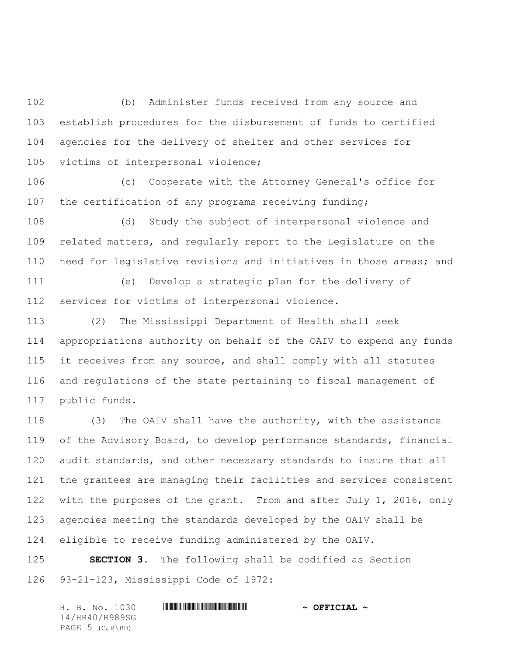(b) Administer funds received from any source and establish procedures for the disbursement of funds to certified agencies for the delivery of shelter and other services for victims of interpersonal violence;

 (c) Cooperate with the Attorney General's office for 107 the certification of any programs receiving funding;

 (d) Study the subject of interpersonal violence and related matters, and regularly report to the Legislature on the need for legislative revisions and initiatives in those areas; and

 (e) Develop a strategic plan for the delivery of services for victims of interpersonal violence.

 (2) The Mississippi Department of Health shall seek appropriations authority on behalf of the OAIV to expend any funds it receives from any source, and shall comply with all statutes and regulations of the state pertaining to fiscal management of public funds.

 (3) The OAIV shall have the authority, with the assistance of the Advisory Board, to develop performance standards, financial audit standards, and other necessary standards to insure that all the grantees are managing their facilities and services consistent with the purposes of the grant. From and after July 1, 2016, only agencies meeting the standards developed by the OAIV shall be eligible to receive funding administered by the OAIV.

 **SECTION 3.** The following shall be codified as Section 93-21-123, Mississippi Code of 1972:

H. B. No. 1030 \*HR40/R989SG\* **~ OFFICIAL ~** 14/HR40/R989SG PAGE 5 (CJR\BD)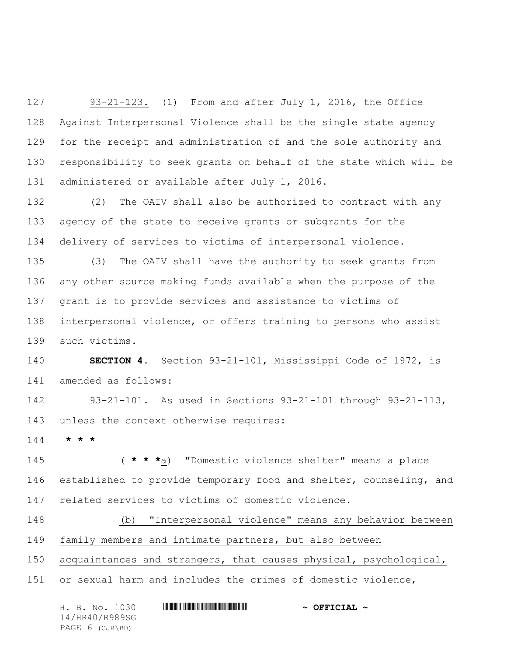93-21-123. (1) From and after July 1, 2016, the Office Against Interpersonal Violence shall be the single state agency for the receipt and administration of and the sole authority and responsibility to seek grants on behalf of the state which will be administered or available after July 1, 2016.

 (2) The OAIV shall also be authorized to contract with any agency of the state to receive grants or subgrants for the delivery of services to victims of interpersonal violence.

 (3) The OAIV shall have the authority to seek grants from any other source making funds available when the purpose of the grant is to provide services and assistance to victims of interpersonal violence, or offers training to persons who assist such victims.

 **SECTION 4.** Section 93-21-101, Mississippi Code of 1972, is amended as follows:

 93-21-101. As used in Sections 93-21-101 through 93-21-113, unless the context otherwise requires:

**\* \* \***

 ( **\* \* \***a) "Domestic violence shelter" means a place established to provide temporary food and shelter, counseling, and related services to victims of domestic violence.

 (b) "Interpersonal violence" means any behavior between family members and intimate partners, but also between

acquaintances and strangers, that causes physical, psychological,

or sexual harm and includes the crimes of domestic violence,

| H. B. No. 1030  | $\sim$ OFFICIAL $\sim$ |
|-----------------|------------------------|
| 14/HR40/R989SG  |                        |
| PAGE 6 (CJR\BD) |                        |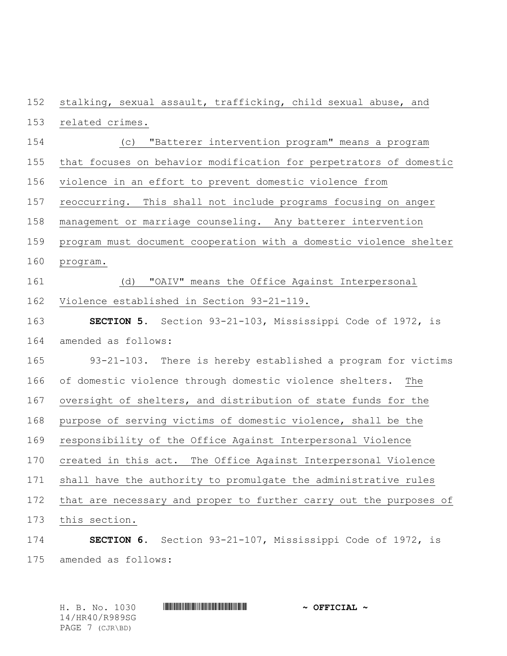stalking, sexual assault, trafficking, child sexual abuse, and

- related crimes.
- (c) "Batterer intervention program" means a program
- that focuses on behavior modification for perpetrators of domestic
- violence in an effort to prevent domestic violence from
- reoccurring. This shall not include programs focusing on anger
- management or marriage counseling. Any batterer intervention
- program must document cooperation with a domestic violence shelter
- program.
- (d) "OAIV" means the Office Against Interpersonal Violence established in Section 93-21-119.
- **SECTION 5.** Section 93-21-103, Mississippi Code of 1972, is amended as follows:
- 93-21-103. There is hereby established a program for victims of domestic violence through domestic violence shelters. The oversight of shelters, and distribution of state funds for the purpose of serving victims of domestic violence, shall be the responsibility of the Office Against Interpersonal Violence created in this act. The Office Against Interpersonal Violence shall have the authority to promulgate the administrative rules that are necessary and proper to further carry out the purposes of this section.
- **SECTION 6.** Section 93-21-107, Mississippi Code of 1972, is amended as follows:

H. B. No. 1030 \*HR40/R989SG\* **~ OFFICIAL ~** 14/HR40/R989SG PAGE 7 (CJR\BD)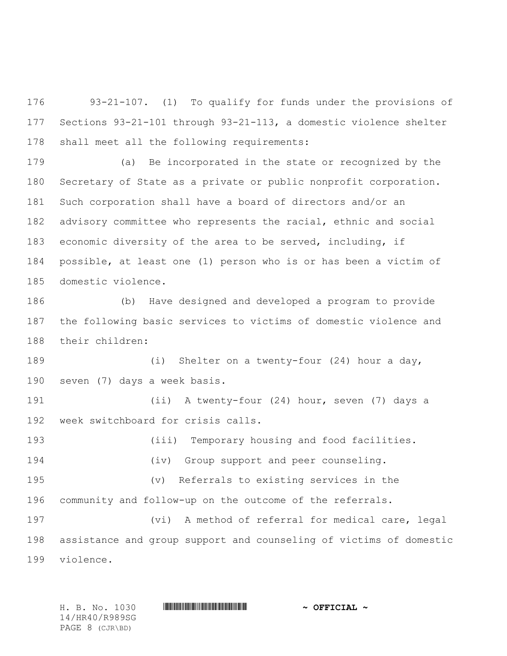93-21-107. (1) To qualify for funds under the provisions of Sections 93-21-101 through 93-21-113, a domestic violence shelter shall meet all the following requirements:

 (a) Be incorporated in the state or recognized by the Secretary of State as a private or public nonprofit corporation. Such corporation shall have a board of directors and/or an advisory committee who represents the racial, ethnic and social economic diversity of the area to be served, including, if possible, at least one (1) person who is or has been a victim of domestic violence.

 (b) Have designed and developed a program to provide the following basic services to victims of domestic violence and their children:

 (i) Shelter on a twenty-four (24) hour a day, seven (7) days a week basis.

 (ii) A twenty-four (24) hour, seven (7) days a week switchboard for crisis calls.

(iii) Temporary housing and food facilities.

 (iv) Group support and peer counseling. (v) Referrals to existing services in the

community and follow-up on the outcome of the referrals.

 (vi) A method of referral for medical care, legal assistance and group support and counseling of victims of domestic violence.

H. B. No. 1030 **\*\*\* AND \*\*\* THE \*\*\* THE \*\*\* THE \*\*\*** \*\*\* **~\*\* OFFICIAL \*\*** 

14/HR40/R989SG PAGE 8 (CJR\BD)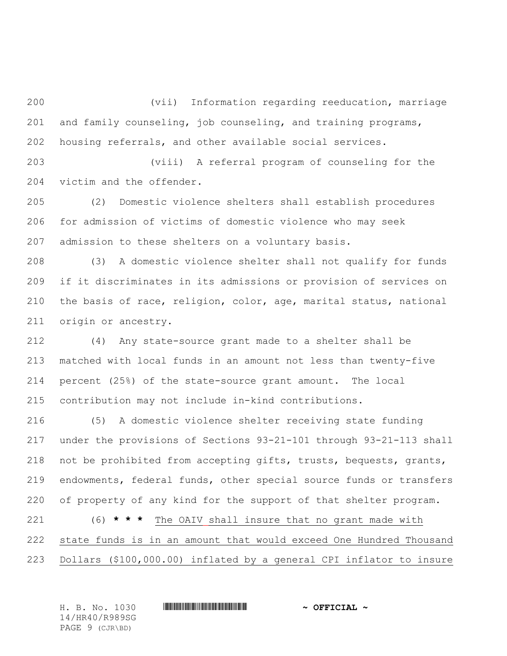(vii) Information regarding reeducation, marriage and family counseling, job counseling, and training programs, housing referrals, and other available social services.

 (viii) A referral program of counseling for the victim and the offender.

 (2) Domestic violence shelters shall establish procedures for admission of victims of domestic violence who may seek admission to these shelters on a voluntary basis.

 (3) A domestic violence shelter shall not qualify for funds if it discriminates in its admissions or provision of services on the basis of race, religion, color, age, marital status, national origin or ancestry.

 (4) Any state-source grant made to a shelter shall be matched with local funds in an amount not less than twenty-five percent (25%) of the state-source grant amount. The local contribution may not include in-kind contributions.

 (5) A domestic violence shelter receiving state funding under the provisions of Sections 93-21-101 through 93-21-113 shall not be prohibited from accepting gifts, trusts, bequests, grants, endowments, federal funds, other special source funds or transfers of property of any kind for the support of that shelter program. (6) **\* \* \*** The OAIV shall insure that no grant made with state funds is in an amount that would exceed One Hundred Thousand

Dollars (\$100,000.00) inflated by a general CPI inflator to insure

H. B. No. 1030 **\*\*\* A SEE ALL A SEE ALL A SEE ALL A SEE ALL A SEE ALL A SEE ALL A SEE ALL A** 14/HR40/R989SG PAGE 9 (CJR\BD)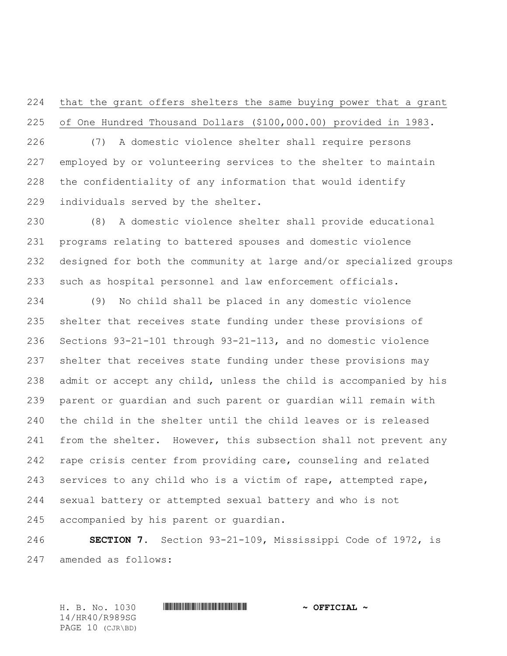that the grant offers shelters the same buying power that a grant of One Hundred Thousand Dollars (\$100,000.00) provided in 1983.

 (7) A domestic violence shelter shall require persons employed by or volunteering services to the shelter to maintain the confidentiality of any information that would identify individuals served by the shelter.

 (8) A domestic violence shelter shall provide educational programs relating to battered spouses and domestic violence designed for both the community at large and/or specialized groups such as hospital personnel and law enforcement officials.

 (9) No child shall be placed in any domestic violence shelter that receives state funding under these provisions of Sections 93-21-101 through 93-21-113, and no domestic violence shelter that receives state funding under these provisions may admit or accept any child, unless the child is accompanied by his parent or guardian and such parent or guardian will remain with the child in the shelter until the child leaves or is released 241 from the shelter. However, this subsection shall not prevent any rape crisis center from providing care, counseling and related services to any child who is a victim of rape, attempted rape, sexual battery or attempted sexual battery and who is not accompanied by his parent or guardian.

 **SECTION 7.** Section 93-21-109, Mississippi Code of 1972, is amended as follows:

H. B. No. 1030 \*HR40/R989SG\* **~ OFFICIAL ~** 14/HR40/R989SG PAGE 10 (CJR\BD)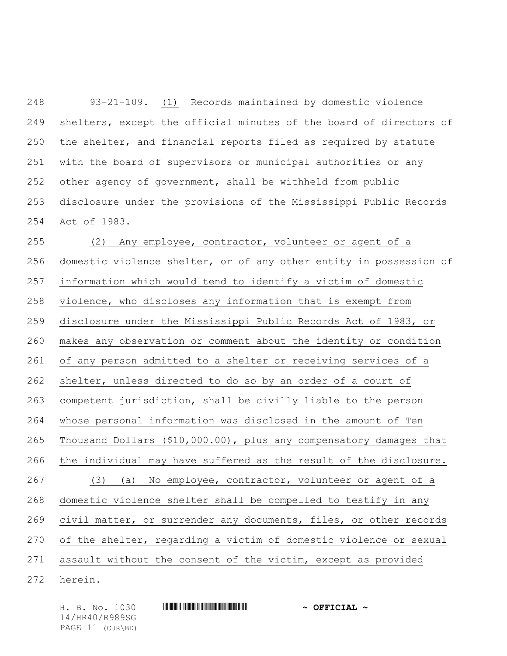93-21-109. (1) Records maintained by domestic violence shelters, except the official minutes of the board of directors of the shelter, and financial reports filed as required by statute with the board of supervisors or municipal authorities or any other agency of government, shall be withheld from public disclosure under the provisions of the Mississippi Public Records Act of 1983.

 (2) Any employee, contractor, volunteer or agent of a domestic violence shelter, or of any other entity in possession of information which would tend to identify a victim of domestic violence, who discloses any information that is exempt from disclosure under the Mississippi Public Records Act of 1983, or makes any observation or comment about the identity or condition of any person admitted to a shelter or receiving services of a shelter, unless directed to do so by an order of a court of competent jurisdiction, shall be civilly liable to the person whose personal information was disclosed in the amount of Ten Thousand Dollars (\$10,000.00), plus any compensatory damages that the individual may have suffered as the result of the disclosure. (3) (a) No employee, contractor, volunteer or agent of a domestic violence shelter shall be compelled to testify in any 269 civil matter, or surrender any documents, files, or other records of the shelter, regarding a victim of domestic violence or sexual assault without the consent of the victim, except as provided herein.

14/HR40/R989SG PAGE 11 (CJR\BD)

H. B. No. 1030 **. HURGARY SEE ALL AND A SECONDE A**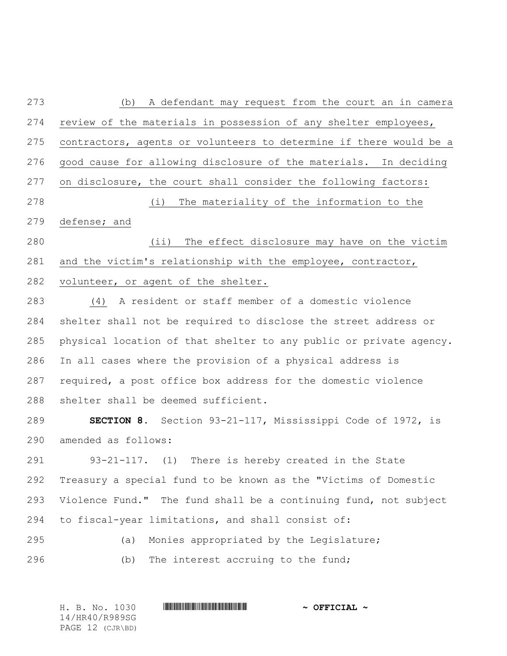(b) A defendant may request from the court an in camera review of the materials in possession of any shelter employees, contractors, agents or volunteers to determine if there would be a good cause for allowing disclosure of the materials. In deciding on disclosure, the court shall consider the following factors: (i) The materiality of the information to the defense; and (ii) The effect disclosure may have on the victim and the victim's relationship with the employee, contractor, volunteer, or agent of the shelter. (4) A resident or staff member of a domestic violence shelter shall not be required to disclose the street address or physical location of that shelter to any public or private agency. In all cases where the provision of a physical address is required, a post office box address for the domestic violence shelter shall be deemed sufficient. **SECTION 8.** Section 93-21-117, Mississippi Code of 1972, is amended as follows: 93-21-117. (1) There is hereby created in the State Treasury a special fund to be known as the "Victims of Domestic Violence Fund." The fund shall be a continuing fund, not subject to fiscal-year limitations, and shall consist of: (a) Monies appropriated by the Legislature; (b) The interest accruing to the fund;

H. B. No. 1030 \*HR40/R989SG\* **~ OFFICIAL ~** 14/HR40/R989SG PAGE 12 (CJR\BD)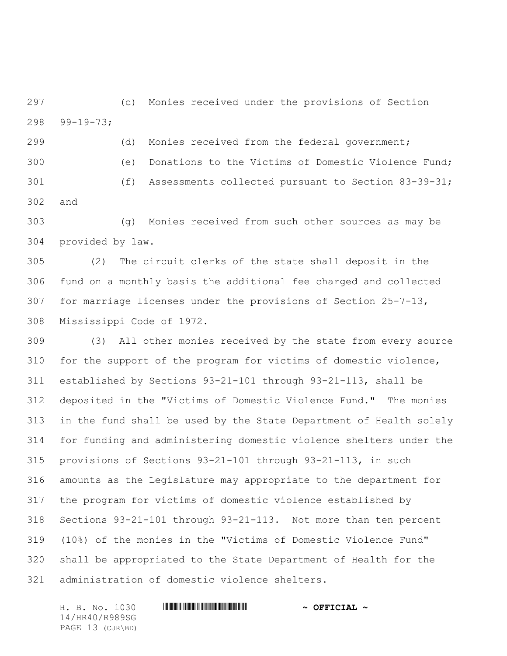(c) Monies received under the provisions of Section 99-19-73;

 (d) Monies received from the federal government; (e) Donations to the Victims of Domestic Violence Fund; (f) Assessments collected pursuant to Section 83-39-31; and

 (g) Monies received from such other sources as may be provided by law.

 (2) The circuit clerks of the state shall deposit in the fund on a monthly basis the additional fee charged and collected for marriage licenses under the provisions of Section 25-7-13, Mississippi Code of 1972.

 (3)All other monies received by the state from every source for the support of the program for victims of domestic violence, established by Sections 93-21-101 through 93-21-113, shall be deposited in the "Victims of Domestic Violence Fund." The monies in the fund shall be used by the State Department of Health solely for funding and administering domestic violence shelters under the provisions of Sections 93-21-101 through 93-21-113, in such amounts as the Legislature may appropriate to the department for the program for victims of domestic violence established by Sections 93-21-101 through 93-21-113. Not more than ten percent (10%) of the monies in the "Victims of Domestic Violence Fund" shall be appropriated to the State Department of Health for the administration of domestic violence shelters.

14/HR40/R989SG PAGE 13 (CJR\BD)

## H. B. No. 1030 \*HR40/R989SG\* **~ OFFICIAL ~**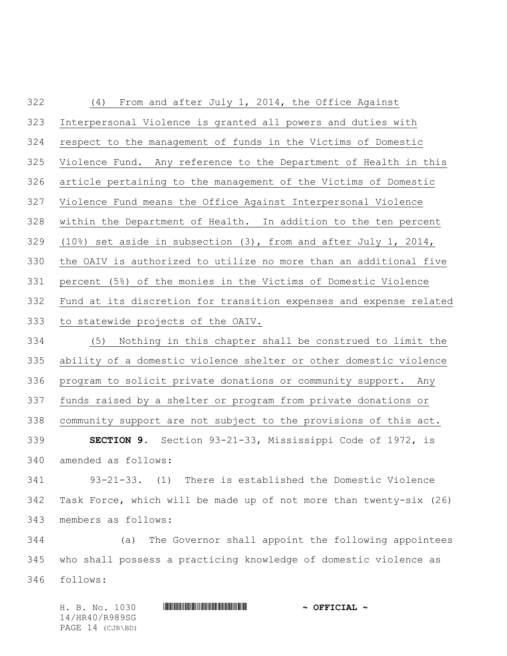| Interpersonal Violence is granted all powers and duties with        |  |  |
|---------------------------------------------------------------------|--|--|
| respect to the management of funds in the Victims of Domestic       |  |  |
| Violence Fund. Any reference to the Department of Health in this    |  |  |
| article pertaining to the management of the Victims of Domestic     |  |  |
| Violence Fund means the Office Against Interpersonal Violence       |  |  |
| within the Department of Health. In addition to the ten percent     |  |  |
| $(10)$ set aside in subsection $(3)$ , from and after July 1, 2014, |  |  |
| the OAIV is authorized to utilize no more than an additional five   |  |  |
| percent (5%) of the monies in the Victims of Domestic Violence      |  |  |
| Fund at its discretion for transition expenses and expense related  |  |  |
| 333<br>to statewide projects of the OAIV.                           |  |  |
| (5)<br>Nothing in this chapter shall be construed to limit the      |  |  |
| ability of a domestic violence shelter or other domestic violence   |  |  |
| program to solicit private donations or community support. Any      |  |  |
| funds raised by a shelter or program from private donations or      |  |  |
| community support are not subject to the provisions of this act.    |  |  |
| <b>SECTION 9.</b> Section 93-21-33, Mississippi Code of 1972, is    |  |  |
| amended as follows:                                                 |  |  |
| 93-21-33. (1) There is established the Domestic Violence            |  |  |
| Task Force, which will be made up of not more than twenty-six (26)  |  |  |
| members as follows:                                                 |  |  |
| The Governor shall appoint the following appointees<br>(a)          |  |  |
| who shall possess a practicing knowledge of domestic violence as    |  |  |
|                                                                     |  |  |

follows:

H. B. No. 1030 **HR40 R999 SGET CLAL +** 14/HR40/R989SG PAGE 14 (CJR\BD)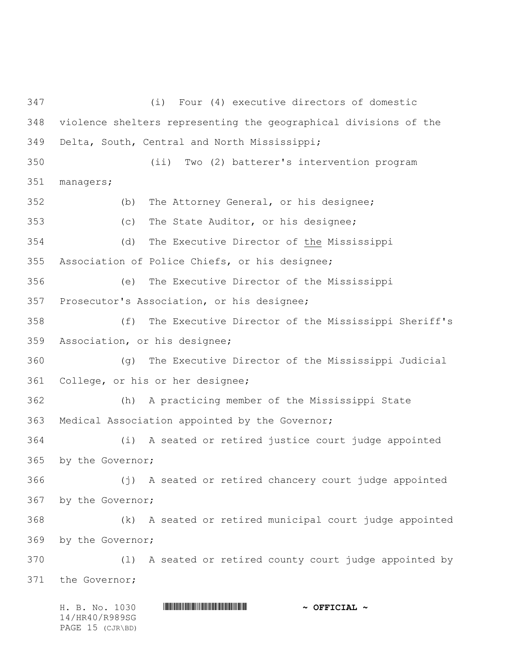H. B. No. 1030 \*HR40/R989SG\* **~ OFFICIAL ~** (i) Four (4) executive directors of domestic violence shelters representing the geographical divisions of the Delta, South, Central and North Mississippi; (ii) Two (2) batterer's intervention program managers; (b) The Attorney General, or his designee; (c) The State Auditor, or his designee; (d) The Executive Director of the Mississippi Association of Police Chiefs, or his designee; (e) The Executive Director of the Mississippi Prosecutor's Association, or his designee; (f) The Executive Director of the Mississippi Sheriff's Association, or his designee; (g) The Executive Director of the Mississippi Judicial College, or his or her designee; (h) A practicing member of the Mississippi State Medical Association appointed by the Governor; (i) A seated or retired justice court judge appointed by the Governor; (j) A seated or retired chancery court judge appointed by the Governor; (k) A seated or retired municipal court judge appointed by the Governor; (l) A seated or retired county court judge appointed by the Governor;

14/HR40/R989SG PAGE 15 (CJR\BD)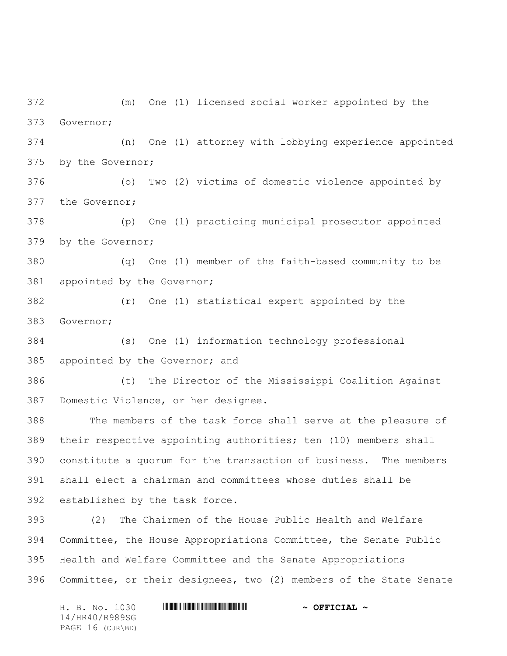(m) One (1) licensed social worker appointed by the Governor; (n) One (1) attorney with lobbying experience appointed by the Governor; (o) Two (2) victims of domestic violence appointed by the Governor; (p) One (1) practicing municipal prosecutor appointed by the Governor; (q) One (1) member of the faith-based community to be appointed by the Governor; (r) One (1) statistical expert appointed by the Governor; (s) One (1) information technology professional 385 appointed by the Governor; and (t) The Director of the Mississippi Coalition Against Domestic Violence, or her designee. The members of the task force shall serve at the pleasure of their respective appointing authorities; ten (10) members shall constitute a quorum for the transaction of business. The members shall elect a chairman and committees whose duties shall be established by the task force. (2) The Chairmen of the House Public Health and Welfare Committee, the House Appropriations Committee, the Senate Public Health and Welfare Committee and the Senate Appropriations Committee, or their designees, two (2) members of the State Senate

H. B. No. 1030 **HR40 R999 SG & OFFICIAL ~** 14/HR40/R989SG PAGE 16 (CJR\BD)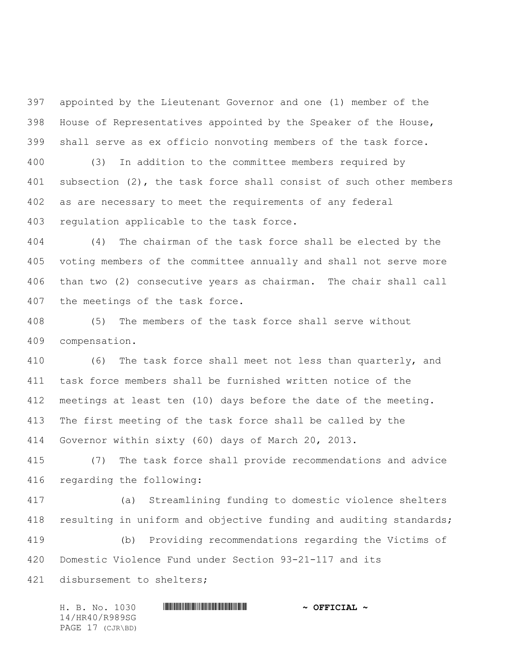appointed by the Lieutenant Governor and one (1) member of the House of Representatives appointed by the Speaker of the House, shall serve as ex officio nonvoting members of the task force.

 (3) In addition to the committee members required by subsection (2), the task force shall consist of such other members as are necessary to meet the requirements of any federal regulation applicable to the task force.

 (4) The chairman of the task force shall be elected by the voting members of the committee annually and shall not serve more than two (2) consecutive years as chairman. The chair shall call the meetings of the task force.

 (5) The members of the task force shall serve without compensation.

 (6) The task force shall meet not less than quarterly, and task force members shall be furnished written notice of the meetings at least ten (10) days before the date of the meeting. The first meeting of the task force shall be called by the Governor within sixty (60) days of March 20, 2013.

 (7) The task force shall provide recommendations and advice regarding the following:

 (a) Streamlining funding to domestic violence shelters resulting in uniform and objective funding and auditing standards;

 (b) Providing recommendations regarding the Victims of Domestic Violence Fund under Section 93-21-117 and its disbursement to shelters;

| H. B. No. 1030   | $\sim$ OFFICIAL $\sim$ |
|------------------|------------------------|
| 14/HR40/R989SG   |                        |
| PAGE 17 (CJR\BD) |                        |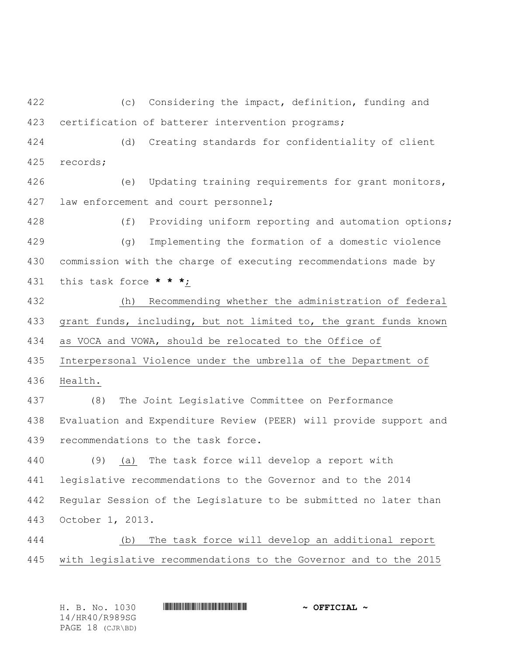(c) Considering the impact, definition, funding and certification of batterer intervention programs;

 (d) Creating standards for confidentiality of client records;

 (e) Updating training requirements for grant monitors, 427 law enforcement and court personnel;

 (f) Providing uniform reporting and automation options; (g) Implementing the formation of a domestic violence commission with the charge of executing recommendations made by this task force **\* \* \***;

 (h) Recommending whether the administration of federal grant funds, including, but not limited to, the grant funds known as VOCA and VOWA, should be relocated to the Office of

Interpersonal Violence under the umbrella of the Department of

Health.

 (8) The Joint Legislative Committee on Performance Evaluation and Expenditure Review (PEER) will provide support and recommendations to the task force.

 (9) (a) The task force will develop a report with legislative recommendations to the Governor and to the 2014 Regular Session of the Legislature to be submitted no later than October 1, 2013.

 (b) The task force will develop an additional report with legislative recommendations to the Governor and to the 2015

H. B. No. 1030 \*HR40/R989SG\* **~ OFFICIAL ~** 14/HR40/R989SG PAGE 18 (CJR\BD)